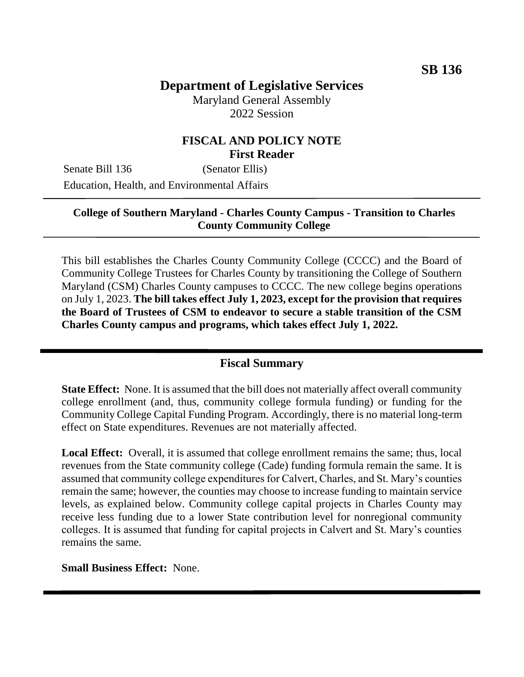# **Department of Legislative Services**

Maryland General Assembly 2022 Session

### **FISCAL AND POLICY NOTE First Reader**

Senate Bill 136 (Senator Ellis) Education, Health, and Environmental Affairs

#### **College of Southern Maryland - Charles County Campus - Transition to Charles County Community College**

This bill establishes the Charles County Community College (CCCC) and the Board of Community College Trustees for Charles County by transitioning the College of Southern Maryland (CSM) Charles County campuses to CCCC. The new college begins operations on July 1, 2023. **The bill takes effect July 1, 2023, except for the provision that requires the Board of Trustees of CSM to endeavor to secure a stable transition of the CSM Charles County campus and programs, which takes effect July 1, 2022.**

#### **Fiscal Summary**

**State Effect:** None. It is assumed that the bill does not materially affect overall community college enrollment (and, thus, community college formula funding) or funding for the Community College Capital Funding Program. Accordingly, there is no material long-term effect on State expenditures. Revenues are not materially affected.

**Local Effect:** Overall, it is assumed that college enrollment remains the same; thus, local revenues from the State community college (Cade) funding formula remain the same. It is assumed that community college expenditures for Calvert, Charles, and St. Mary's counties remain the same; however, the counties may choose to increase funding to maintain service levels, as explained below. Community college capital projects in Charles County may receive less funding due to a lower State contribution level for nonregional community colleges. It is assumed that funding for capital projects in Calvert and St. Mary's counties remains the same.

**Small Business Effect:** None.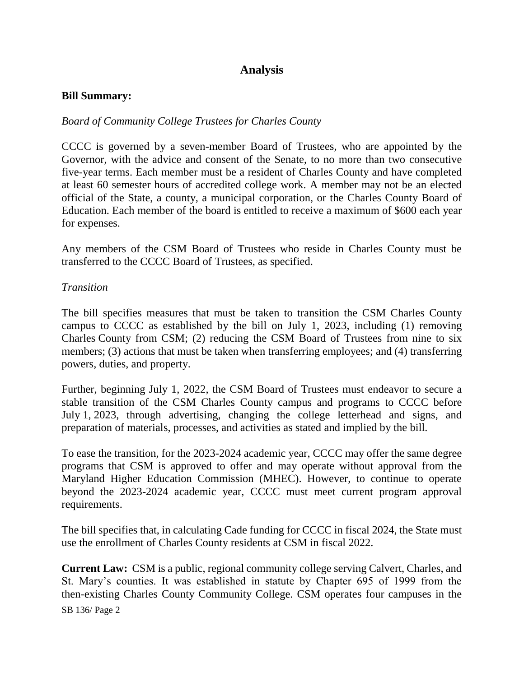# **Analysis**

#### **Bill Summary:**

#### *Board of Community College Trustees for Charles County*

CCCC is governed by a seven-member Board of Trustees, who are appointed by the Governor, with the advice and consent of the Senate, to no more than two consecutive five-year terms. Each member must be a resident of Charles County and have completed at least 60 semester hours of accredited college work. A member may not be an elected official of the State, a county, a municipal corporation, or the Charles County Board of Education. Each member of the board is entitled to receive a maximum of \$600 each year for expenses.

Any members of the CSM Board of Trustees who reside in Charles County must be transferred to the CCCC Board of Trustees, as specified.

#### *Transition*

The bill specifies measures that must be taken to transition the CSM Charles County campus to CCCC as established by the bill on July 1, 2023, including (1) removing Charles County from CSM; (2) reducing the CSM Board of Trustees from nine to six members; (3) actions that must be taken when transferring employees; and (4) transferring powers, duties, and property.

Further, beginning July 1, 2022, the CSM Board of Trustees must endeavor to secure a stable transition of the CSM Charles County campus and programs to CCCC before July 1, 2023, through advertising, changing the college letterhead and signs, and preparation of materials, processes, and activities as stated and implied by the bill.

To ease the transition, for the 2023-2024 academic year, CCCC may offer the same degree programs that CSM is approved to offer and may operate without approval from the Maryland Higher Education Commission (MHEC). However, to continue to operate beyond the 2023-2024 academic year, CCCC must meet current program approval requirements.

The bill specifies that, in calculating Cade funding for CCCC in fiscal 2024, the State must use the enrollment of Charles County residents at CSM in fiscal 2022.

SB 136/ Page 2 **Current Law:** CSM is a public, regional community college serving Calvert, Charles, and St. Mary's counties. It was established in statute by Chapter 695 of 1999 from the then-existing Charles County Community College. CSM operates four campuses in the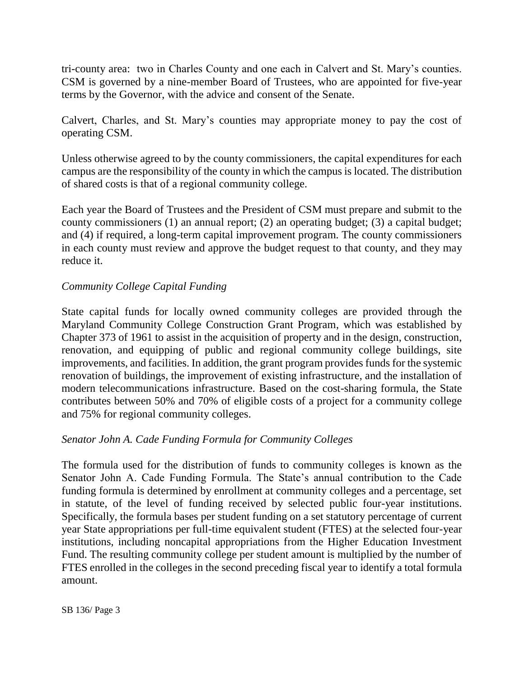tri-county area: two in Charles County and one each in Calvert and St. Mary's counties. CSM is governed by a nine-member Board of Trustees, who are appointed for five-year terms by the Governor, with the advice and consent of the Senate.

Calvert, Charles, and St. Mary's counties may appropriate money to pay the cost of operating CSM.

Unless otherwise agreed to by the county commissioners, the capital expenditures for each campus are the responsibility of the county in which the campus is located. The distribution of shared costs is that of a regional community college.

Each year the Board of Trustees and the President of CSM must prepare and submit to the county commissioners (1) an annual report; (2) an operating budget; (3) a capital budget; and (4) if required, a long-term capital improvement program. The county commissioners in each county must review and approve the budget request to that county, and they may reduce it.

#### *Community College Capital Funding*

State capital funds for locally owned community colleges are provided through the Maryland Community College Construction Grant Program, which was established by Chapter 373 of 1961 to assist in the acquisition of property and in the design, construction, renovation, and equipping of public and regional community college buildings, site improvements, and facilities. In addition, the grant program provides funds for the systemic renovation of buildings, the improvement of existing infrastructure, and the installation of modern telecommunications infrastructure. Based on the cost-sharing formula, the State contributes between 50% and 70% of eligible costs of a project for a community college and 75% for regional community colleges.

#### *Senator John A. Cade Funding Formula for Community Colleges*

The formula used for the distribution of funds to community colleges is known as the Senator John A. Cade Funding Formula. The State's annual contribution to the Cade funding formula is determined by enrollment at community colleges and a percentage, set in statute, of the level of funding received by selected public four-year institutions. Specifically, the formula bases per student funding on a set statutory percentage of current year State appropriations per full-time equivalent student (FTES) at the selected four-year institutions, including noncapital appropriations from the Higher Education Investment Fund. The resulting community college per student amount is multiplied by the number of FTES enrolled in the colleges in the second preceding fiscal year to identify a total formula amount.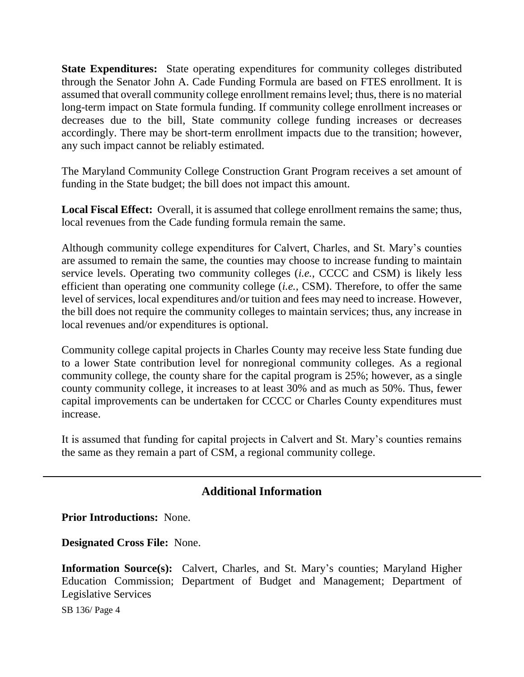**State Expenditures:** State operating expenditures for community colleges distributed through the Senator John A. Cade Funding Formula are based on FTES enrollment. It is assumed that overall community college enrollment remainslevel; thus, there is no material long-term impact on State formula funding. If community college enrollment increases or decreases due to the bill, State community college funding increases or decreases accordingly. There may be short-term enrollment impacts due to the transition; however, any such impact cannot be reliably estimated.

The Maryland Community College Construction Grant Program receives a set amount of funding in the State budget; the bill does not impact this amount.

**Local Fiscal Effect:** Overall, it is assumed that college enrollment remains the same; thus, local revenues from the Cade funding formula remain the same.

Although community college expenditures for Calvert, Charles, and St. Mary's counties are assumed to remain the same, the counties may choose to increase funding to maintain service levels. Operating two community colleges (*i.e.,* CCCC and CSM) is likely less efficient than operating one community college (*i.e.,* CSM). Therefore, to offer the same level of services, local expenditures and/or tuition and fees may need to increase. However, the bill does not require the community colleges to maintain services; thus, any increase in local revenues and/or expenditures is optional.

Community college capital projects in Charles County may receive less State funding due to a lower State contribution level for nonregional community colleges. As a regional community college, the county share for the capital program is 25%; however, as a single county community college, it increases to at least 30% and as much as 50%. Thus, fewer capital improvements can be undertaken for CCCC or Charles County expenditures must increase.

It is assumed that funding for capital projects in Calvert and St. Mary's counties remains the same as they remain a part of CSM, a regional community college.

## **Additional Information**

**Prior Introductions:** None.

**Designated Cross File:** None.

**Information Source(s):** Calvert, Charles, and St. Mary's counties; Maryland Higher Education Commission; Department of Budget and Management; Department of Legislative Services

SB 136/ Page 4